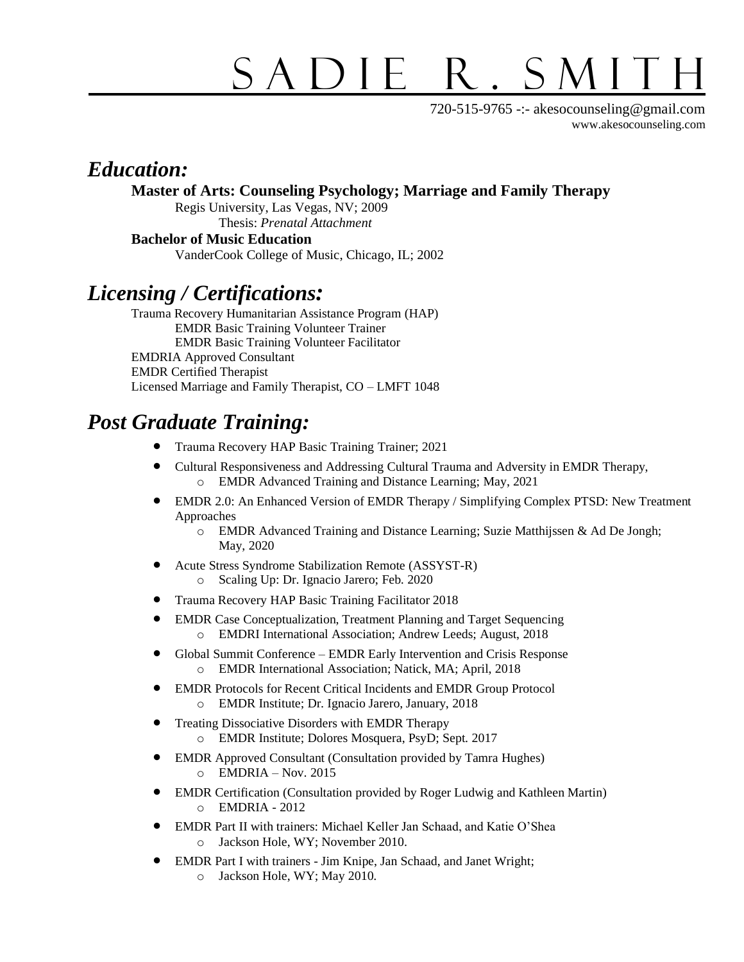# SADIE R. SMITH

720-515-9765 -:- akesocounseling@gmail.com [www.akesocounseling.com](http://www.akesocounseling.com/)

## *Education:*

**Master of Arts: Counseling Psychology; Marriage and Family Therapy**

Regis University, Las Vegas, NV; 2009 Thesis: *Prenatal Attachment* 

**Bachelor of Music Education** VanderCook College of Music, Chicago, IL; 2002

## *Licensing / Certifications:*

Trauma Recovery Humanitarian Assistance Program (HAP) EMDR Basic Training Volunteer Trainer EMDR Basic Training Volunteer Facilitator EMDRIA Approved Consultant EMDR Certified Therapist Licensed Marriage and Family Therapist, CO – LMFT 1048

## *Post Graduate Training:*

- Trauma Recovery HAP Basic Training Trainer; 2021
- Cultural Responsiveness and Addressing Cultural Trauma and Adversity in EMDR Therapy, o EMDR Advanced Training and Distance Learning; May, 2021
- EMDR 2.0: An Enhanced Version of EMDR Therapy / Simplifying Complex PTSD: New Treatment Approaches
	- o EMDR Advanced Training and Distance Learning; Suzie Matthijssen & Ad De Jongh; May, 2020
- Acute Stress Syndrome Stabilization Remote (ASSYST-R) Scaling Up: Dr. Ignacio Jarero; Feb. 2020
- Trauma Recovery HAP Basic Training Facilitator 2018
- EMDR Case Conceptualization, Treatment Planning and Target Sequencing o EMDRI International Association; Andrew Leeds; August, 2018
- Global Summit Conference EMDR Early Intervention and Crisis Response o EMDR International Association; Natick, MA; April, 2018
- EMDR Protocols for Recent Critical Incidents and EMDR Group Protocol o EMDR Institute; Dr. Ignacio Jarero, January, 2018
- Treating Dissociative Disorders with EMDR Therapy o EMDR Institute; Dolores Mosquera, PsyD; Sept. 2017
- EMDR Approved Consultant (Consultation provided by Tamra Hughes)  $O$  EMDRIA – Nov. 2015
- EMDR Certification (Consultation provided by Roger Ludwig and Kathleen Martin) o EMDRIA - 2012
- EMDR Part II with trainers: Michael Keller Jan Schaad, and Katie O'Shea o Jackson Hole, WY; November 2010.
- EMDR Part I with trainers Jim Knipe, Jan Schaad, and Janet Wright; o Jackson Hole, WY; May 2010.